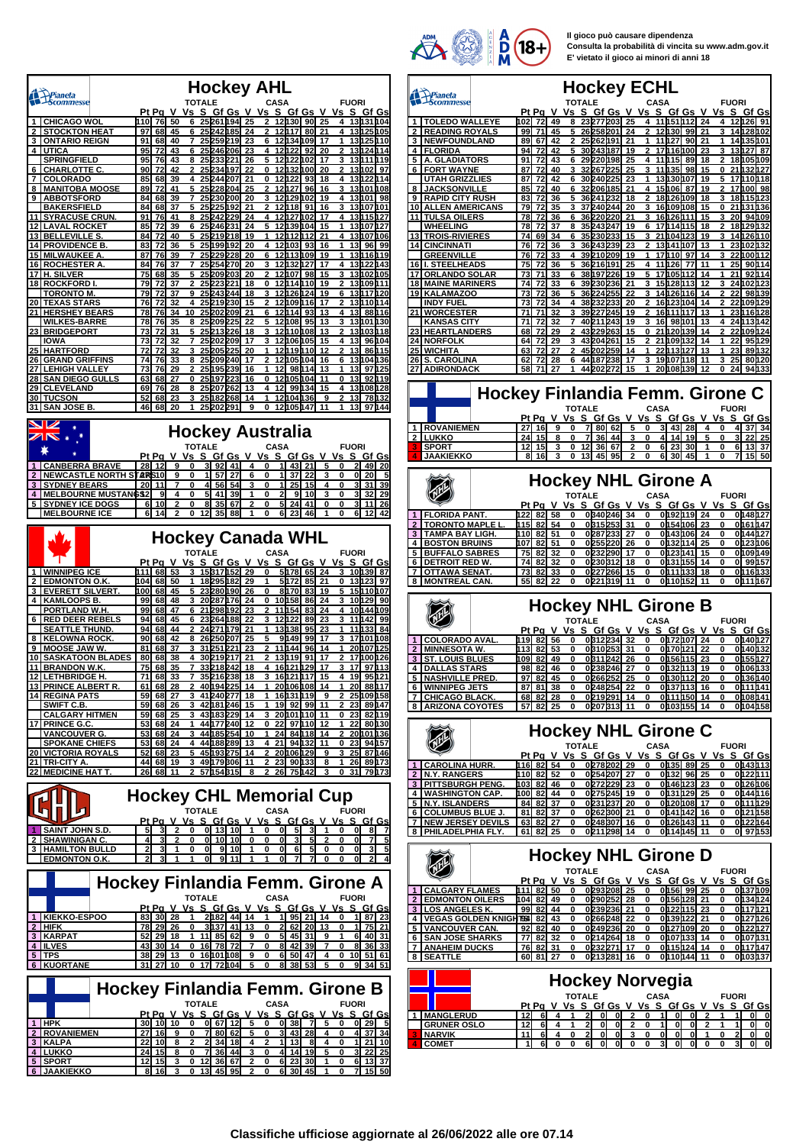

**Il gioco può causare dipendenza Consulta la probabilità di vincita su www.adm.gov.it E' vietato il gioco ai minori di anni 18**

|          |                                                   |                                 |                   |                     |                        |                       |              |                |                          |          | <b>Hockey AHL</b>                                   |             |                      |                        |                     |            |                   |                        |                    |
|----------|---------------------------------------------------|---------------------------------|-------------------|---------------------|------------------------|-----------------------|--------------|----------------|--------------------------|----------|-----------------------------------------------------|-------------|----------------------|------------------------|---------------------|------------|-------------------|------------------------|--------------------|
|          | Prianeta<br>Scommesse                             |                                 |                   |                     | Pt Pa V                | <b>TOTALE</b><br>Vs S |              |                | <u>Gf Gs</u>             |          | V Vs S Gf Gs                                        | <b>CASA</b> |                      |                        | V Vs                |            | <b>FUORI</b>      | S Gf Gs                |                    |
| 1        | <b>CHICAGO WOL</b>                                |                                 | 110               | 76                  | 50                     | 6                     |              |                | 25 261 194               | 25       |                                                     |             | 12130                | 90                     | 25                  |            |                   | 13131104               |                    |
| 2<br>3   | <b>STOCKTON HEAT</b><br><b>ONTARIO REIGN</b>      |                                 | 97<br>91          | 68<br>68            | 45<br>40               | 6<br>7                |              |                | 25242185<br>25259219     | 24<br>23 | 2<br>6                                              |             | 12h17<br>12134109    | 80                     | 21<br>17            | 4<br>1     |                   | 13125105<br>13125110   |                    |
| 4        | <b>UTICA</b>                                      |                                 | 95                | 72                  | 43                     | 6                     | 25           |                | 246 206                  | 23       | 4                                                   |             | 12∏22                | 92                     | 20                  | 2          |                   | 13124114               |                    |
|          | <b>SPRINGFIELD</b><br><b>CHARLOTTE C</b>          |                                 | 95<br>90          | 76<br>72            | 43<br>42               | 8<br>2                |              |                | 25233221<br>25234197     | 26<br>22 | 5<br>0                                              |             | 12122<br>12132       | 102<br>100             | 17<br>20            | 3<br>2     |                   | 13 111 19<br>13h02     | 97                 |
| 6<br>7   | <b>COLORADO</b>                                   |                                 | 85                | 68                  | 39                     | 4                     | 25           |                | 244 207                  | 21       | 0                                                   | 12          | 122                  | 93                     | 18                  | 4          |                   | 131122                 | h 14               |
| 8        | <b>MANITOBA MOOSE</b>                             |                                 | 89                | 72                  | 41                     | 5                     |              |                | 25 228 204               | 25       | 2                                                   |             | 12h27                | 96                     | 16                  | 3          |                   | 13101108               |                    |
| 9        | <b>ABBOTSFORD</b><br><b>BAKERSFIELD</b>           |                                 | 84<br>84          | 68<br>68            | 39<br>37               | 7<br>5                | 25<br>25     |                | 230 200<br>225H92        | 20<br>21 | 3<br>2                                              |             | 12129<br>12118       | 102<br>91              | 19<br>16            | 4<br>3     |                   | 13101<br>13107101      | 98                 |
| 11       | <b>SYRACUSE CRUN</b>                              |                                 | 91                | 76                  | 41                     | 8                     |              |                | 25242229                 | 24       | 4                                                   |             | 12027002             |                        | 17                  | 4          |                   | 13115127               |                    |
| 12       | <b>LAVAL ROCKET</b>                               |                                 | 85                | 72                  | 39                     | 6                     |              | 25246231       |                          | 24       |                                                     |             | 12h39h04             |                        | 15                  | 1          |                   | 13107127               |                    |
| 13<br>14 | <u>BELLEVILLE S</u><br><b>PROVIDENCE B</b>        |                                 | 84<br>83          | 72<br>72            | 40<br>36               | 5<br>5                |              |                | 25219218<br>25 199 192   | 19<br>20 | 1<br>4                                              |             | 12112<br>12103       | 112<br>93              | 21<br>16            | 4<br>1     | 13                | 13µ07                  | M 06<br>99         |
|          | <b>MILWAUKEE A</b>                                |                                 | 87                | 76                  | 39                     | 7                     |              |                | 25 229 228               | 20       | 6                                                   |             | 12h <sub>13</sub>    | 109                    | 19                  | 1          |                   | 96<br>13116119         |                    |
| 16       | <b>ROCHESTER A</b>                                |                                 | 84                | 76                  | 37                     | 7                     | 25           |                | 254 270                  | 20       | 3                                                   | 12          | 132                  | 127                    | 17                  | 4          |                   | 13122143               |                    |
| 17       | H. SILVER                                         |                                 | 75                | 68                  | 35                     | 5                     |              |                | 25 209 203               | 20       | 2                                                   |             | 12107                | 98                     | 15                  | 3          |                   | 13102105               |                    |
| 18       | <b>ROCKFORD I</b><br><u>TORONTO M.</u>            |                                 | 79<br>79          | 72<br>72            | 37<br>37               | 2<br>9                | 25           | 25223221       | 243244                   | 18<br>18 | 0<br>3                                              | 12          | 12114<br>126         | 110<br>124             | 19<br>19            | 2<br>6     |                   | 13 109 111<br>13117120 |                    |
| 20       | <b>TEXAS STARS</b>                                |                                 | 76                | 72                  | 32                     | 4                     |              |                | 25219230                 | 15       | 2                                                   |             | 12109116             |                        | 17                  | 2          |                   | 13110114               |                    |
| 21       | <b>HERSHEY BEARS</b>                              |                                 | 78                | 76                  | 34                     | 10                    |              |                | 25 202 209               | 21       | 6                                                   |             | 12114                | 93                     | 13                  | 4          | 13                |                        | 88116              |
| $^{23}$  | <u>WILKES-BARRE</u><br><b>BRIDGEPORT</b>          |                                 | 78<br>73          | 76<br>72            | 35<br>31               | 8<br>5                | 25           |                | 209225<br>25 213 226     | 22<br>18 | 5<br>3                                              | 12          | 108<br>12110108      | 95                     | 13<br>13            | 3<br>2     |                   | 13101130<br>13103118   |                    |
|          | <b>IOWA</b>                                       |                                 | 73                | 72                  | 32                     |                       |              |                | 25202209                 | 17       |                                                     |             | 12106105             |                        | 15                  | 4          | 13                |                        | 96104              |
| 25       | <b>HARTFORD</b>                                   |                                 | 72                | 72                  | 32                     | з                     | 25           |                | 205225                   | 20       | 1                                                   | 12          | 119                  | 110                    | 12                  | 2          | 13                |                        | 86115              |
| 27       | 26 GRAND GRIFFINS<br><b>LEHIGH VALLEY</b>         |                                 | 74<br>73          | 76<br>76            | 33<br>29               | 8<br>2                |              |                | 25209240<br>25195239     | 17<br>16 | 2<br>1                                              | 12          | 12105104<br>98       | 114                    | 16<br>13            | 6<br>1     | 13                | 13h04l<br>97           | H 36<br>125        |
| 28       | <b>SAN DIEGO GULLS</b>                            |                                 | 63                | 68                  | 27                     | 0                     |              |                | 25197223                 | 16       | 0                                                   | 12          | 105                  | 104                    | 11                  | 0          | 13                | 92                     | h 19               |
| 29       | <b>CLEVELAND</b>                                  |                                 | 69                | 76                  | 28                     | 8                     |              |                | 25 207 262               | 13       | 4                                                   | 12          | 99                   | 134                    | 15                  | 4          |                   | 13108128               |                    |
| 30<br>31 | <b>TUCSON</b><br><b>SAN JOSE B.</b>               |                                 | 52<br>46          | 68<br>68            | 23<br>20               | 1                     |              | 25 202 291     | 25182268                 | 14<br>g  | 1<br>0                                              |             | 12104136<br>12h05h47 |                        | 9<br>11             |            | 13<br>13          | 97                     | 78h32<br>144       |
|          |                                                   |                                 |                   |                     |                        |                       |              |                |                          |          |                                                     |             |                      |                        |                     |            |                   |                        |                    |
|          | v                                                 |                                 |                   |                     |                        |                       |              |                |                          |          | <b>Hockey Australia</b>                             |             |                      |                        |                     |            |                   |                        |                    |
|          |                                                   |                                 |                   |                     |                        | <b>TOTALE</b>         |              |                |                          |          |                                                     | <b>CASA</b> |                      |                        |                     |            | <b>FUORI</b>      |                        |                    |
|          |                                                   |                                 |                   | Pt Pg               |                        | Vs S                  |              |                | <u>Gf Gs</u>             |          | V Vs                                                |             | S Gf Gs              |                        | ٧                   | Vs S Gf Gs |                   |                        |                    |
| 1<br>2   | <b>CANBERRA BRAVE</b><br><b>NEWCASTLE NORTH S</b> |                                 | 28                | 12<br>ALRIS10       | 9<br>9                 | 0<br>0                | 3<br>1       | 92<br>57       | 41<br>27                 | 4<br>6   | 0<br>0                                              | 1<br>1      | -43<br>37            | 21<br>22               | 5<br>3              | 0<br>0     | 2<br>0            | 49<br>20               | 20<br>5            |
| 3        | <b>SYDNEY BEARS</b>                               |                                 | 20                | 11                  | 7                      | 0                     | 4            | 56             | 54                       | 3        | 0                                                   | 1           | 25                   | 15                     | 4                   | 0          | 3                 | 31                     | 39                 |
| 4        | <b>MELBOURNE MUSTANGS2</b>                        |                                 |                   | 9                   | 4                      | 0                     | 5            | 41             | 39                       | 1        | 0                                                   | 2           | 9                    | 10                     | 3                   | 0          | 3                 | 32                     | 29                 |
|          | <b>SYDNEY ICE DOGS</b><br><b>MELBOURNE ICE</b>    |                                 | 6<br>6            | 10<br>14            | 2                      | 0<br>0                | 8<br>12      | 35<br>35       | 67<br>88                 | 2<br>1   | 0<br>0                                              | 5<br>6      | 24<br>23             | 41<br>46               | 0<br>1              | 0<br>ŋ     | 3                 | 11<br>12               | 26<br>42           |
|          |                                                   |                                 |                   |                     |                        |                       |              |                |                          |          |                                                     |             |                      |                        |                     |            |                   |                        |                    |
|          |                                                   |                                 |                   |                     |                        |                       |              |                |                          |          | <b>Hockey Canada WHL</b>                            |             |                      |                        |                     |            |                   |                        |                    |
|          |                                                   |                                 |                   |                     |                        | TOTALE                |              |                |                          |          |                                                     | <b>CASA</b> |                      |                        |                     |            | <b>FUORI</b>      |                        |                    |
|          |                                                   |                                 |                   | Pt Pg               | v                      | <u>VsSGfGs</u>        |              |                |                          |          | V Vs S Gf Gs                                        |             |                      |                        | V                   | ٧s         |                   | <u>SGfGs</u>           |                    |
| 1        | <b>WINNIPEG ICE</b>                               |                                 | 111               | 68                  | 53                     |                       |              |                | 15 317 152               | 29       | 0                                                   |             | 5178                 | 65                     | 24                  | 3          |                   | 10139 87               |                    |
| 2<br>3   | <b>EDMONTON O.K</b><br><b>EVERETT SILVERT</b>     |                                 | 104<br>100        | 68<br>68            | 50<br>45               | 1<br>5                | 23           |                | 18295182<br>280H90       | 29<br>26 | 1<br>0                                              |             | 5172<br>8170         | 85<br>83               | 21<br>19            | 0<br>5     |                   | 13123<br>15h 10        | 97<br>107          |
| 4        | <b>KAMLOOPS B.</b>                                |                                 | 99                | 68                  | 48                     | 3                     |              |                | 20287176                 | 24       | 0                                                   |             | 10158                | 86                     | 24                  | 3          |                   | 10h 29                 | 90                 |
|          | PORTLAND W.H.                                     |                                 | 99                | 68                  | 47                     | 6                     |              |                | 21 298 192               | 23       |                                                     |             | 11154                | 83                     | 24                  | 4          |                   | 10h44h09               |                    |
| 6        | <b>RED DEER REBELS</b><br><b>SEATTLE THUND</b>    |                                 | 94<br>94          | 68<br>68            | 45<br>44               | 6<br>2                |              |                | 23264188<br>24 271 179   | 22<br>21 | 3<br>1                                              |             | 12122<br>13138       | 89<br>95               | 23<br>23            | з<br>1     |                   | 11   142<br>11   133   | 99<br>84           |
| 8        | <b>KELOWNA ROCK</b>                               |                                 | 90                | 68                  | 42                     | 8                     |              | 26250207       |                          | 25       | 5                                                   |             | 9149                 | 99                     | 17                  | 3          |                   | 17h01                  | 108                |
| 9        | <b>MOOSE JAW W.</b>                               |                                 | 81                | 68                  | 37                     | 3                     |              | 31 251 221     |                          | 23       | 2                                                   | 11          | 144                  | 96                     | 14                  | 1          |                   | 20h 07                 | 125                |
| 10<br>11 | <b>SASKATOON BLADES</b><br><b>BRANDON W.K.</b>    |                                 | 80<br>75          | 68<br>68            | 38<br>35               | 4<br>7                |              |                | 30 219 217<br>33218242   | 21<br>18 | 2<br>4                                              |             | 13119<br>16121129    | 91                     | 17<br>17            | 2<br>з     | 17                | 17 <b>100126</b>       | 97113              |
|          | 12   LETHBRIDGE H.                                |                                 | 71                | ρR                  | აა                     |                       |              |                | 35K16K38                 | 18       |                                                     |             | 16 141 117           |                        | 15                  | 4          | าษ                |                        | <u>95121</u>       |
|          | 13 PRINCE ALBERT R.                               |                                 |                   |                     | 61 68 28               |                       |              |                | 2 40194225 14            |          | 1                                                   |             |                      | 20106108 14            |                     | 1          |                   |                        | 20 88 117          |
|          | <b>14 REGINA PATS</b><br>SWIFT C.B.               |                                 |                   | 59 68<br>59 68      | 27<br>26               | 3                     |              |                | 412402771<br>42 181 246  | 18<br>15 | 1<br>1                                              |             | 16131119<br>19 92    | 99                     | ັ 9<br>11           | 2          | 23                | 25109158               | 89147              |
|          | <b>CALGARY HITMEN</b>                             |                                 |                   |                     | 59 68 25               |                       |              |                | 3 43183229 14            |          |                                                     |             |                      | 3 20101110 11          |                     | 0          | 23                |                        | 82 119             |
|          | 17 PRINCE G.C                                     |                                 |                   | 53 68               | 24                     |                       |              |                | 44 177 240               | 12       | 0                                                   |             |                      | 22 97110 12            |                     | 1          | 22                |                        | 80130              |
|          | <b>VANCOUVER G.</b><br><b>SPOKANE CHIEFS</b>      |                                 |                   | 53 68               | 24<br>53 68 24         | 3<br>4                |              |                | 44185254 10<br>441882891 | 13       | 1<br>4                                              |             |                      | 24 84 118<br>21 94 132 | 14<br>11            | 2<br>0     | 23                | 20101136               | 94 h 57            |
| 20       | <b>VICTORIA ROYALS</b>                            |                                 | 52                | 68                  | 23                     | 5                     |              |                | 45193275                 | 14       | 2                                                   |             | 20106129             |                        | 9                   | 3          | 25                |                        | 87146              |
|          | 21 TRI-CITY A.<br><b>22 MEDICINE HAT T.</b>       |                                 |                   | 44 68               | 19                     | 3                     |              |                | 49179306                 | 11<br>8  | 2<br>2                                              |             |                      | 23 90 133              | 8                   | 1<br>0     | 26                |                        | 89173              |
|          |                                                   |                                 |                   |                     | 26  68  11             |                       |              |                | 2 57154315               |          |                                                     |             | 26  75142            |                        | 3                   |            | 31                |                        | 79173              |
|          |                                                   |                                 |                   |                     |                        |                       |              |                |                          |          | <b>Hockey CHL Memorial Cup</b>                      |             |                      |                        |                     |            |                   |                        |                    |
|          |                                                   |                                 |                   |                     |                        | <b>TOTALE</b>         |              |                |                          |          |                                                     | <b>CASA</b> |                      |                        |                     |            | <b>FUORI</b>      |                        |                    |
|          |                                                   |                                 |                   |                     |                        |                       |              |                |                          |          | <u>Pt Pa V Vs S Gf Gs V Vs S Gf Gs V Vs S Gf Gs</u> |             |                      |                        |                     |            |                   |                        |                    |
|          | <b>SAINT JOHN S.D.</b>                            |                                 |                   |                     |                        |                       | 0            | 13             | 10                       |          | 0                                                   | 0           | 5                    |                        |                     | 0          | 0                 | 8                      | 7                  |
| 2        | <b>SHAWINIGAN C.</b><br><b>3   HAMILTON BULLD</b> |                                 | 4<br>$\mathbf{z}$ | 3<br>3              | 2<br>1                 | 0<br>0                | 0<br>0       |                | 10 10<br>9 10            | 0<br>1   | 0<br>0                                              | 0<br>0      | 3<br>6               | 5<br>5                 | 2<br>0              | 0<br>0     | 0<br>$\mathbf{0}$ | 7<br>3                 | 5<br>5             |
|          | <b>EDMONTON O.K.</b>                              |                                 | 2                 | 3                   | 1                      |                       | $\mathbf{0}$ | 91             | 11                       | 1        | 1                                                   | 0           | 7                    | 7                      | 0                   | 0          | 0                 |                        | 4                  |
|          |                                                   |                                 |                   |                     |                        |                       |              |                |                          |          |                                                     |             |                      |                        |                     |            |                   |                        |                    |
|          |                                                   | Hockey Finlandia Femm. Girone A |                   |                     |                        |                       |              |                |                          |          |                                                     |             |                      |                        |                     |            |                   |                        |                    |
|          |                                                   |                                 |                   |                     |                        | <b>TOTALE</b>         |              |                |                          |          |                                                     | <b>CASA</b> |                      |                        |                     |            | <b>FUORI</b>      |                        |                    |
|          |                                                   |                                 |                   |                     |                        |                       |              |                |                          |          | <u>Pt Pa V Vs S Gf Gs V Vs S Gf Gs</u>              |             |                      |                        | <u>V Vs S Gf Gs</u> |            |                   |                        |                    |
|          | 1 KIEKKO-ESPOO<br>2 HIFK                          |                                 |                   |                     | 83 30 28<br>78 29 26   | 1<br>0                |              |                | 2182 44 14<br>3137 41 13 |          | 1<br>0                                              |             |                      | 1 95 21<br>2 62 20     | 14<br>13            | 0<br>0     | 11                |                        | 1 87 23<br>75   21 |
|          | <b>3 KARPAT</b>                                   |                                 | 52                | 29                  | <u> 18</u>             | 1                     |              |                | 11 85 62                 | 9        | 0                                                   |             | 5 45                 | 31                     | 9                   | 1          | 6                 |                        | 40 31              |
|          | 4 ILVES<br>5   TPS                                |                                 |                   |                     | 43 30 14<br>38  29  13 | 0<br>0                |              |                | 16 78 72<br>16101108     | 7<br>9   | 0<br>0                                              |             | 8 4 2<br>6  50       | 39<br>47               | 7<br>4              | 0<br>0     | 8                 |                        | 36 33<br>10 51 61  |
|          | <b>6 KUORTANE</b>                                 |                                 |                   | 31 27               | 10                     | 0                     |              |                | 17 72104                 | 5        | 0                                                   |             | 8 38                 | 53                     | 5                   | 0          | 9                 |                        | 34 51              |
|          |                                                   |                                 |                   |                     |                        |                       |              |                |                          |          |                                                     |             |                      |                        |                     |            |                   |                        |                    |
|          |                                                   | Hockey Finlandia Femm. Girone B |                   |                     |                        |                       |              |                |                          |          |                                                     |             |                      |                        |                     |            |                   |                        |                    |
|          |                                                   |                                 |                   |                     |                        | <b>TOTALE</b>         |              |                |                          |          |                                                     | <b>CASA</b> |                      |                        |                     |            | <b>FUORI</b>      |                        |                    |
|          |                                                   |                                 |                   |                     |                        |                       |              |                |                          |          | <u>PtPaVVsSGfGsVVsSGfGsVVs</u>                      |             |                      |                        |                     |            |                   | <u>SGfGs</u>           |                    |
| 1.       | <b>HPK</b>                                        |                                 |                   | 30 10               | 10                     | 0                     |              | 0 67           | 12                       | 5        | 0                                                   |             | 0 38                 | 7                      | 5                   | 0          |                   | 0129                   | - 5                |
|          | <b>2 ROVANIEMEN</b>                               |                                 | 22                | 27 16<br>  10       | 9<br><u>8</u>          | 0<br>2                | 2            | 34             | 7 80 62<br>18            | 5<br>4   | 0<br><u>2</u>                                       | 1           | 3143<br><u>13</u>    | -28<br>8               | 4<br>4              | 0<br>0     | 1                 | 21                     | 4 37 34<br>10      |
|          | 3 KALPA                                           |                                 |                   |                     |                        |                       |              |                |                          |          |                                                     |             |                      |                        |                     |            |                   |                        |                    |
|          | 4 LUKKO                                           |                                 |                   | 24 15               | 8                      | 0                     | 7            |                | 36 44                    | 3        | $\bf{0}$                                            | 4           | 14                   | 19                     | 5                   | 0          | 3                 | 22                     | 25                 |
| 6        | 5 SPORT<br><b>JAAKIEKKO</b>                       |                                 | 81                | 12  15<br><u>16</u> | 3<br>3                 | 0<br>0                |              | 12 36<br>13 45 | 67<br>95                 | 2<br>2   | 0<br>0                                              | 6L          | 6  23<br>30          | 30<br>45               | 1<br>1              | 0<br>0     | 7                 | 6 13<br>15             | 37<br>50           |

|                                                                                                                                                                                                    |                                 |             |                    |                | <b>Hockey ECHL</b>  |               |                            |         |           |              |             |                |                 |                                          |                           |              |                                              |
|----------------------------------------------------------------------------------------------------------------------------------------------------------------------------------------------------|---------------------------------|-------------|--------------------|----------------|---------------------|---------------|----------------------------|---------|-----------|--------------|-------------|----------------|-----------------|------------------------------------------|---------------------------|--------------|----------------------------------------------|
| Pianeta<br>Scommesse                                                                                                                                                                               |                                 |             |                    |                |                     | <b>TOTALE</b> |                            |         |           |              | <b>CASA</b> |                |                 |                                          |                           | <b>FUORI</b> |                                              |
| <b>TOLEDO WALLEYE</b>                                                                                                                                                                              |                                 | 102         | <u>Pt Pa</u><br>72 | <b>V</b><br>49 | Vs S                |               | 23277203                   | Gf Gs V | 25        |              |             |                | 11151112        | -24                                      | <u>Vs S Gf Gs V Vs S</u>  |              | <u>Gf Gs</u><br>12126<br>91                  |
| 2<br><b>READING ROYALS</b>                                                                                                                                                                         |                                 | 99          | 71                 | 45             | 5                   |               | 26258201                   |         | 24        | 2            |             |                | 12130 99        | 21                                       | 3                         |              | 14128102                                     |
| 3<br><b>NEWFOUNDLAND</b>                                                                                                                                                                           |                                 | 89          | 67                 | 42             | 2                   |               | 25262191                   |         | 21        | 1            |             | 11   127       | 90              | 21                                       | 1                         |              | 14135101                                     |
| <b>FLORIDA</b><br>4                                                                                                                                                                                |                                 | 94          | 72                 | 42             | 5                   |               | 30243187                   |         | 19        | 2            |             | 17h 16l        | 100             | 23                                       | 3                         |              | 13H27<br>-87                                 |
| 5<br>A. GLADIATORS                                                                                                                                                                                 |                                 | 91          | 72                 | 43             | 6                   |               | 29220198                   |         | 25        | 4            |             | 11 115         | 89              | 18                                       | 2                         |              | 18105109                                     |
| 6<br><b>FORT WAYNE</b>                                                                                                                                                                             |                                 | 87          | 72                 | 40             | 3                   |               | 32267                      | 225     | 25        | 3            |             | 111135         | 98              | 15                                       | 0                         |              | 21132<br>h 27                                |
| <b>UTAH GRIZZLIES</b>                                                                                                                                                                              |                                 | 87          | 72                 | 42             | 6                   |               | 30240225                   |         | 23        | 1            |             | 13µ30          | 107             | 19                                       | 5                         |              | 17110118                                     |
| <b>JACKSONVILLE</b><br>8                                                                                                                                                                           |                                 | 85          | 72                 | 40             | 6                   |               | 32206185                   |         | 21        | 4            |             | 15h06          | 87              | 19                                       | 2                         |              | 17 <b>h00</b><br>  98                        |
| <b>RAPID CITY RUSH</b><br>9<br>10<br><b>ALLEN AMERICANS</b>                                                                                                                                        |                                 | 83<br>79    | 72<br>72           | 36<br>35       | 5<br>3              | 37            | 36 241 232<br>240244       |         | 18<br>20  | 2<br>3       |             | 18126<br>16109 | 109<br>108      | 18<br>15                                 | 3<br>0                    |              | 18115<br>123<br>21131136                     |
| 11<br><b>TULSA OILERS</b>                                                                                                                                                                          |                                 | 78          | 72                 | 36             | 6                   |               | 36220                      | 220     | 21        | 3            |             |                | 16h 26h 11      | 15                                       | 3                         | 20           | 94109                                        |
| <b>WHEELING</b>                                                                                                                                                                                    |                                 | 78          | 72                 | 37             | 8                   |               | 35243247                   |         | 19        | 6            |             | 17h 14l        | 115             | 18                                       | 2                         |              | 18h29h32                                     |
| <b>TROIS-RIVIERES</b><br>13                                                                                                                                                                        |                                 | 74          | 69                 | 34             | 6.                  |               | 35230233                   |         | 15        | 3            |             | 21   104       | 123             | 19                                       | 3                         |              | 14126110                                     |
| 14<br><b>CINCINNATI</b>                                                                                                                                                                            |                                 | 76          | 72                 | 36             | 3                   |               | 36243239                   |         | 23        | 2            |             |                | 13141107        | 13                                       | 1                         |              | 23102132                                     |
| <b>GREENVILLE</b>                                                                                                                                                                                  |                                 | 76          | 72                 | 33             | 4                   |               | 39210209                   |         | 19        | 1            |             | 17h10          | 97              | 14                                       | 3                         |              | 22100112                                     |
| 16<br><b>I. STEELHEADS</b>                                                                                                                                                                         |                                 | 75          | 72                 | 36             | 5                   |               | 36216191                   |         | 25        | 4            |             | 11h26          | 77              | 11                                       | 1                         | 25           | 90h14                                        |
| 17<br><b>ORLANDO SOLAR</b>                                                                                                                                                                         |                                 | 73          | 71                 | 33             | 6                   |               | 38197226                   |         | 19        | 5            |             | 17h05          | 112             | 14                                       | 1                         | 21           | 92114                                        |
| 18<br><b>MAINE MARINERS</b>                                                                                                                                                                        |                                 | 74          | 72                 | 33             | 6.                  |               | 39230236                   |         | 21        | 3            |             | 15128          | 113             | 12                                       | 3                         |              | 24h02h23                                     |
| 19<br><b>KALAMAZOO</b>                                                                                                                                                                             |                                 | 73          | 72                 | 36             | 5                   |               | 36224255                   |         | 22        | 3            |             |                | 14126116        | 14                                       | 2                         | 22           | 98139                                        |
| <b>INDY FUEL</b>                                                                                                                                                                                   |                                 | 73          | 72                 | 34             | 4                   |               | 38232233                   |         | 20        | 2            |             |                | 16123104        | 14                                       | 2                         |              | 22109129                                     |
| <b>WORCESTER</b><br>21                                                                                                                                                                             |                                 | 71          | 71                 | 32             | 3                   |               | 39227245                   |         | 19        | 2            |             |                | 16111117        | 13                                       | 1                         |              | 23116<br>128                                 |
| <u>KANSAS CITY</u>                                                                                                                                                                                 |                                 | 71          | 72                 | 32             | 7                   |               | 40211243                   |         | 19        | 3            | 16          | 98             | 101             | 13                                       | 4                         |              | 24113<br>142                                 |
| 23<br><b>HEARTLANDERS</b>                                                                                                                                                                          |                                 | 68          | 72                 | 29             | 2<br>3              |               | 43229263                   |         | 15        | 0            |             |                | 21   120   139  | 14                                       | 2<br>1                    |              | 22109124                                     |
| 24<br><b>NORFOLK</b><br>25<br><b>WICHITA</b>                                                                                                                                                       |                                 | 64<br>63    | 72<br>72           | 29<br>27       | 2                   |               | 43204261<br>45 202 259     |         | 15<br>14  | 2<br>1       |             | 22 1 1 3 I     | 21109132<br>127 | 14<br>13                                 | 1                         | 22<br>23     | 95<br>h 29<br>89h32                          |
| 26<br><u>S. CAROLINA</u>                                                                                                                                                                           |                                 | 62          | 72                 | 28             | 6                   |               | 44187                      | 238     | 17        | 3            |             |                | 19 107 118      | 11                                       | 3                         | 25           | 80120                                        |
| 27<br><b>ADIRONDACK</b>                                                                                                                                                                            |                                 | 58          | 71                 | 27             | 1                   |               | 44202272                   |         | 15        | 1            |             |                | 20h08h39        | 12                                       | 0                         | 24           | 94h33                                        |
|                                                                                                                                                                                                    |                                 |             |                    |                |                     |               |                            |         |           |              |             |                |                 |                                          |                           |              |                                              |
|                                                                                                                                                                                                    | Hockey Finlandia Femm. Girone C |             |                    |                |                     |               |                            |         |           |              |             |                |                 |                                          |                           |              |                                              |
|                                                                                                                                                                                                    |                                 |             |                    |                |                     | <b>TOTALE</b> |                            |         |           |              | <b>CASA</b> |                |                 |                                          |                           | <b>FUORI</b> |                                              |
|                                                                                                                                                                                                    |                                 |             | P <u>t Pa</u>      |                | <u>V Vs S Gf Gs</u> |               |                            |         |           | V Vs         | -S          |                | Gf Gs           |                                          | V Vs                      |              | S Gf Gs                                      |
| <b>ROVANIEMEN</b><br>1                                                                                                                                                                             |                                 | 27          | 16                 | 9              | 0                   | 7             | 80                         | 62      | 5         | 0            | 3           | 43             | -28             | 4                                        | 0                         | 4            | 37<br>34                                     |
| 2<br><b>LUKKO</b>                                                                                                                                                                                  |                                 | 24          | 15                 | 8              | 0                   | 7             | 36                         | 44      | з         | 0            | 4           | 14             | 19              | 5                                        | 0                         | 3            | 22<br>25                                     |
| <b>SPORT</b>                                                                                                                                                                                       |                                 | 12          | 15                 | 3              | U                   | 12            | 36                         | 67      | 2         | 0            | 6           | 23             | 30              | 1                                        | 0                         | 6            | 13<br>37                                     |
| <b>JAAKIEKKO</b>                                                                                                                                                                                   |                                 | 8           | 16                 | 3              | 0                   | 13            | 45                         | 95      | 2         | 0            | 6           | 30             | 45              |                                          | ŋ                         | 7            | 15<br>50                                     |
|                                                                                                                                                                                                    |                                 |             |                    | v              | ٧s                  | <b>TOTALE</b> | SGfGs                      |         | V         |              | CASA        |                |                 | <b>Hockey NHL Girone A</b>               |                           | <b>FUORI</b> | Vs S Gf Gs V Vs S Gf Gs                      |
| <b>FLORIDA PANT</b><br>1                                                                                                                                                                           |                                 | 122         | Pt Pg<br>82        | 58             | 0                   |               | 0340246 34                 |         |           | 0            |             |                |                 | 0192119 24                               | 0                         |              | 0148127                                      |
| $\overline{a}$<br><b>TORONTO MAPLE</b>                                                                                                                                                             |                                 | 115         | 82                 | 54             | 0                   |               | 0315253                    |         | 31        | 0            |             |                | 0154106         | 23                                       | 0                         |              | 0161147                                      |
| 3<br>TAMPA BAY LIGH                                                                                                                                                                                |                                 | 110         | 82                 | 51             | 0                   |               | 0287233                    |         | 27        | 0            |             |                | 0143106         | 24                                       | 0                         |              | 0144127                                      |
| 4<br><b>BOSTON BRUINS</b>                                                                                                                                                                          |                                 | 107         | 82                 | 51             | 0                   |               | 0255220                    |         | 26        | 0            |             |                | 0132114         | 25                                       | 0                         |              | 0123106                                      |
| 5<br><b>BUFFALO SABRES</b>                                                                                                                                                                         |                                 | 75          | 82                 | 32             | 0                   |               | 0232290                    |         | 17        | 0            |             |                | 0123141         | 15                                       | 0                         |              | 0h09h49                                      |
| 6<br><b>DETROIT RED W.</b>                                                                                                                                                                         |                                 | 74          | 82                 | 32             | 0                   |               | 0230312                    |         | 18        | 0            |             | 0131           | 155             | 14                                       | 0                         | 01           | 99M 57                                       |
| 7<br><b>OTTAWA SENAT</b>                                                                                                                                                                           |                                 |             | 73  82             | 33             | 0                   |               | 0227266                    |         | 15        | 0            |             |                | 0111133         | 18                                       | 0                         |              | 0116133                                      |
| 8<br><b>MONTREAL CAN.</b>                                                                                                                                                                          |                                 | 55          | 82                 | 22             | 0                   |               | 0221319                    |         | 11        | 0            |             |                | 0h10h52         | 11                                       | 0                         |              | oh11h67                                      |
|                                                                                                                                                                                                    |                                 |             |                    |                |                     |               |                            |         |           |              |             |                |                 |                                          |                           |              |                                              |
|                                                                                                                                                                                                    |                                 |             |                    |                |                     | <b>TOTALE</b> |                            |         |           |              | <b>CASA</b> |                |                 | <b>Hockey NHL Girone B</b>               |                           | <b>FUORI</b> |                                              |
|                                                                                                                                                                                                    |                                 |             | Pt Pa              |                | <u>V Vs S Gf Gs</u> |               |                            |         | V Vs      |              |             |                | S Gf Gs         | V Vs                                     |                           |              | <u>SGfGs</u>                                 |
| COLORADO AVAL                                                                                                                                                                                      |                                 | 119         | 82                 | 56             | 0                   | 0             |                            | 312234  | 32        | 0            |             |                | oh72107         | 24                                       |                           |              | 0140127                                      |
| 2<br><b>MINNESOTA W.</b>                                                                                                                                                                           |                                 | 113         | 82                 | 53             | 0                   |               | 0310253                    |         | 31        | 0            |             |                | oh 70h 21       | 22                                       | 0                         |              | oh 40h 32                                    |
| 3<br><u>ST. LOUIS BLUES</u>                                                                                                                                                                        |                                 | 109         | 82                 | 49             | 0                   |               | 0311242                    |         | 26        | 0            |             |                | <b>oh 56115</b> | 23                                       | 0                         |              | 0155127                                      |
| 4<br><b>DALLAS STARS</b>                                                                                                                                                                           |                                 | 98          | 82                 | 46             | 0                   |               | 0238                       | 246     | 27        | 0            |             | OM 321         | 113             | 19                                       | 0                         |              | 0106133                                      |
| Ş,<br><u>NASHVILLE PRED.</u>                                                                                                                                                                       |                                 |             | 97  82  45         |                |                     |               | 02662521                   |         | <u>25</u> |              |             |                | <u>0130112</u>  | <b>20</b>                                |                           |              | <u>0136140</u>                               |
| 6   WINNIPEG JETS                                                                                                                                                                                  |                                 |             | 87 81 38           |                | 0                   |               | 0248254 22                 |         |           | 0            |             |                |                 | 0137113 16                               | $\mathbf{0}$              |              | 0111141                                      |
| 7<br><b>CHICAGO BLACK.</b>                                                                                                                                                                         |                                 |             |                    | 68 82 28       | 0                   |               | 0219291 14                 |         |           | 0            |             |                |                 | 0111150 14                               | 0                         |              | 0108141                                      |
|                                                                                                                                                                                                    |                                 |             |                    | 57 82 25       | 0                   |               | 0207313 11                 |         |           | $\mathbf 0$  |             |                |                 | 0103155 14                               | $\mathbf 0$               |              | 0104158                                      |
|                                                                                                                                                                                                    |                                 |             |                    |                |                     |               |                            |         |           |              |             |                |                 |                                          |                           |              |                                              |
|                                                                                                                                                                                                    |                                 |             |                    |                |                     |               |                            |         |           |              |             |                |                 |                                          |                           |              |                                              |
|                                                                                                                                                                                                    |                                 |             |                    |                |                     |               |                            |         |           |              |             |                |                 | <b>Hockey NHL Girone C</b>               |                           |              |                                              |
|                                                                                                                                                                                                    |                                 |             |                    |                |                     | <b>TOTALE</b> |                            |         |           |              | <b>CASA</b> |                |                 |                                          |                           | <b>FUORI</b> |                                              |
|                                                                                                                                                                                                    |                                 |             |                    |                |                     |               |                            |         |           |              |             |                |                 |                                          |                           |              | Pt Pa V Vs S Gf Gs V Vs S Gf Gs V Vs S Gf Gs |
| <b>CAROLINA HURR.</b>                                                                                                                                                                              |                                 | 116  82  54 |                    |                | ŋ                   |               | 0278202 29                 |         |           | O            |             |                |                 | 0135 89 25                               | ŋ                         |              | 0143113                                      |
| 1 <sup>1</sup><br><b>N.Y. RANGERS</b><br>2.                                                                                                                                                        |                                 | 110 82 52   |                    |                | 0                   |               | 0254207 27                 |         |           | 0            |             |                |                 | 0132 96 25                               | 0                         |              | 0122111                                      |
|                                                                                                                                                                                                    |                                 | 100 82 44   |                    | 103 82 46      | $\bf{0}$            |               | 0272229 23<br>0 0275245 19 |         |           |              |             |                |                 | $0$ $0$ $146$ $123$ $23$<br>0 0131129 25 | $\bullet$                 |              | $0$ $0126106$<br>0144116                     |
|                                                                                                                                                                                                    |                                 |             | 84 82              | 37             | 0                   |               | 0231237 20                 |         |           | 0            |             |                |                 | 0120108 17                               | $\overline{\mathbf{0}}$   |              | 0111129                                      |
|                                                                                                                                                                                                    |                                 |             |                    | 81 82 37       | 0                   |               | 0262300 21                 |         |           | $\mathbf{0}$ |             |                |                 | 0h41h42 16                               | $\mathbf{0}$              |              | 0121158                                      |
| <b>7 INEW JERSEY DEVILS</b>                                                                                                                                                                        |                                 |             |                    | 63 82 27       | $\mathbf 0$         |               | 0248307 16                 |         |           | $\mathbf{0}$ |             |                |                 | 0126143 11                               | $\mathbf{0}$              |              | 0122164                                      |
|                                                                                                                                                                                                    |                                 |             |                    | 61 82 25       | 0                   |               | 0211298 14                 |         |           | 0            |             |                |                 | 0114145 11                               | $\mathbf{0}$              |              | 0.97153                                      |
|                                                                                                                                                                                                    |                                 |             |                    |                |                     |               |                            |         |           |              |             |                |                 |                                          |                           |              |                                              |
|                                                                                                                                                                                                    |                                 |             |                    |                |                     |               |                            |         |           |              |             |                |                 | <b>Hockey NHL Girone D</b>               |                           |              |                                              |
|                                                                                                                                                                                                    |                                 |             |                    |                |                     | <b>TOTALE</b> |                            |         |           |              | <b>CASA</b> |                |                 |                                          |                           | <b>FUORI</b> |                                              |
| <b>3 PITTSBURGH PENG.</b><br>5 N.Y. ISLANDERS<br><u>6   COLUMBUS BLUE J.</u><br>1.                                                                                                                 |                                 |             | <u>Pt Pa V</u>     |                | Vs.                 |               |                            |         |           |              |             |                |                 |                                          | S Gf Gs V Vs S Gf Gs V Vs |              | <u>SGfGs</u>                                 |
| <b>CALGARY FLAMES</b>                                                                                                                                                                              |                                 | 111 82 50   |                    |                | 0                   |               | 0293208 25                 |         |           | 0            |             |                |                 | 0156 99 25                               | 0                         |              | 0137109                                      |
| <b>EDMONTON OILERS</b>                                                                                                                                                                             |                                 | 104 82 49   |                    | 44             | 0                   |               | 0290252 28                 |         |           | 0<br>0       |             |                |                 | 0156128 21                               | 0                         |              | 0134124                                      |
| 2 <sup>1</sup><br><b>3 LOS ANGELES K.</b>                                                                                                                                                          |                                 |             | 99 82              |                | 0<br>0              |               | 0239236 21                 |         |           | $\mathbf{0}$ |             |                |                 | 0h22h15 23<br>0139122 21                 | 0<br>$\mathbf{0}$         |              | 0117121<br>0127126                           |
|                                                                                                                                                                                                    |                                 |             |                    | 92 82 40       |                     |               | 0266248 22<br>0 0249236 20 |         |           |              |             |                |                 | 0 0127109 20                             | $\overline{0}$            |              | 0122127                                      |
|                                                                                                                                                                                                    |                                 |             | 77 82              | 32             | 0                   |               | 0214264 18                 |         |           | 0            |             |                |                 | 0107133 14                               | $\mathbf{0}$              |              | 0107131                                      |
| 8 ARIZONA COYOTES<br>4   WASHINGTON CAP.<br>8 PHILADELPHIA FLY.<br>4   VEGAS GOLDEN KNIGHT99   82   43<br>5 VANCOUVER CAN.<br><u>6 SAN JOSE SHARKS</u><br><b>ANAHEIM DUCKS</b><br>7  <br>8 SEATTLE |                                 |             | 60 81 27           | 76 82 31       | $\mathbf{0}$<br>0   |               | 0232271 17<br>0213281 16   |         |           | 0<br>0       |             |                |                 | 0115124 14<br>0110144 11                 | 0<br>0                    |              | 0117147<br>0103137                           |

|                          |                  |  | <b>Hockey Norvegia</b>                                        |  |  |             |  |  |              |  |
|--------------------------|------------------|--|---------------------------------------------------------------|--|--|-------------|--|--|--------------|--|
|                          |                  |  | <b>TOTALE</b><br>Pt Pa V Vs S Gf Gs V Vs S Gf Gs V Vs S Gf Gs |  |  | <b>CASA</b> |  |  | <b>FUORI</b> |  |
|                          | <b>MANGLERUD</b> |  |                                                               |  |  |             |  |  |              |  |
|                          | I GRUNER OSLO    |  |                                                               |  |  |             |  |  |              |  |
| $\overline{\phantom{a}}$ | <b>NARVIK</b>    |  |                                                               |  |  |             |  |  |              |  |
|                          | <b>COMFT</b>     |  |                                                               |  |  |             |  |  |              |  |